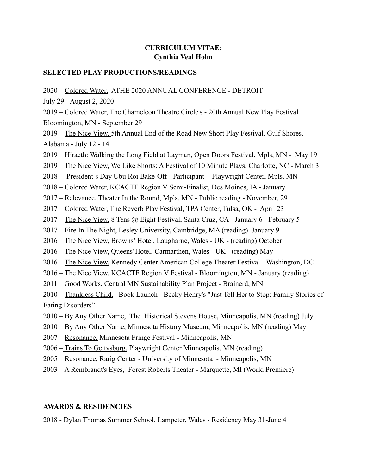### **CURRICULUM VITAE: Cynthia Veal Holm**

#### **SELECTED PLAY PRODUCTIONS/READINGS**

2020 – Colored Water, ATHE 2020 ANNUAL CONFERENCE - DETROIT

July 29 - August 2, 2020

2019 – Colored Water, The Chameleon Theatre Circle's - 20th Annual New Play Festival Bloomington, MN - September 29

2019 – The Nice View, 5th Annual End of the Road New Short Play Festival, Gulf Shores, Alabama - July 12 - 14

- 2019 Hiraeth: Walking the Long Field at Layman, Open Doors Festival, Mpls, MN May 19
- 2019 The Nice View, We Like Shorts: A Festival of 10 Minute Plays, Charlotte, NC March 3

2018 – President's Day Ubu Roi Bake-Off - Participant - Playwright Center, Mpls. MN

- 2018 Colored Water, KCACTF Region V Semi-Finalist, Des Moines, IA January
- 2017 Relevance, Theater In the Round, Mpls, MN Public reading November, 29
- 2017 Colored Water, The Reverb Play Festival, TPA Center, Tulsa, OK April 23
- 2017 The Nice View, 8 Tens @ Eight Festival, Santa Cruz, CA January 6 February 5
- 2017 Fire In The Night, Lesley University, Cambridge, MA (reading) January 9
- 2016 The Nice View, Browns' Hotel, Laugharne, Wales UK (reading) October
- 2016 The Nice View, Queens'Hotel, Carmarthen, Wales UK (reading) May
- 2016 The Nice View, Kennedy Center American College Theater Festival Washington, DC
- 2016 The Nice View, KCACTF Region V Festival Bloomington, MN January (reading)
- 2011 Good Works, Central MN Sustainability Plan Project Brainerd, MN
- 2010 Thankless Child, Book Launch Becky Henry's "Just Tell Her to Stop: Family Stories of Eating Disorders"
- 2010 By Any Other Name, The Historical Stevens House, Minneapolis, MN (reading) July
- 2010 By Any Other Name, Minnesota History Museum, Minneapolis, MN (reading) May
- 2007 Resonance, Minnesota Fringe Festival Minneapolis, MN
- 2006 Trains To Gettysburg, Playwright Center Minneapolis, MN (reading)
- 2005 Resonance, Rarig Center University of Minnesota Minneapolis, MN
- 2003 A Rembrandt's Eyes, Forest Roberts Theater Marquette, MI (World Premiere)

#### **AWARDS & RESIDENCIES**

2018 - Dylan Thomas Summer School. Lampeter, Wales - Residency May 31-June 4